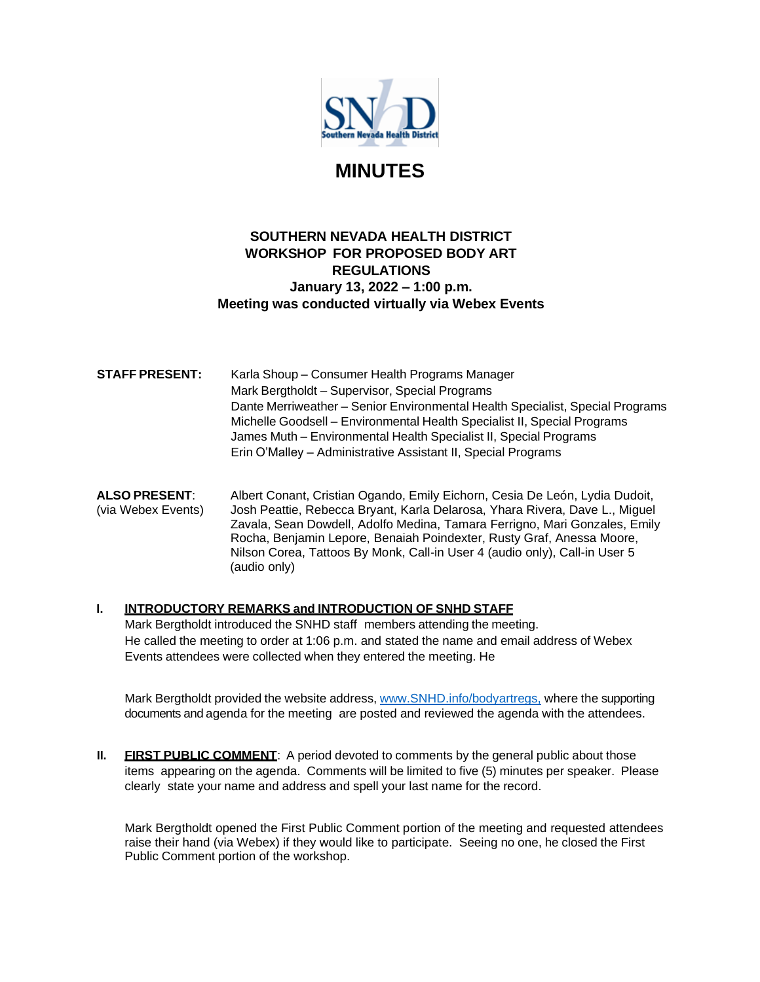

# **MINUTES**

## **SOUTHERN NEVADA HEALTH DISTRICT WORKSHOP FOR PROPOSED BODY ART REGULATIONS January 13, 2022 – 1:00 p.m. Meeting was conducted virtually via Webex Events**

**STAFF PRESENT:** Karla Shoup – Consumer Health Programs Manager Mark Bergtholdt – Supervisor, Special Programs Dante Merriweather – Senior Environmental Health Specialist, Special Programs Michelle Goodsell – Environmental Health Specialist II, Special Programs James Muth – Environmental Health Specialist II, Special Programs Erin O'Malley – Administrative Assistant II, Special Programs

**ALSO PRESENT**: Albert Conant, Cristian Ogando, Emily Eichorn, Cesia De León, Lydia Dudoit, (via Webex Events) Josh Peattie, Rebecca Bryant, Karla Delarosa, Yhara Rivera, Dave L., Miguel Zavala, Sean Dowdell, Adolfo Medina, Tamara Ferrigno, Mari Gonzales, Emily Rocha, Benjamin Lepore, Benaiah Poindexter, Rusty Graf, Anessa Moore, Nilson Corea, Tattoos By Monk, Call-in User 4 (audio only), Call-in User 5 (audio only)

**I. INTRODUCTORY REMARKS and INTRODUCTION OF SNHD STAFF** Mark Bergtholdt introduced the SNHD staff members attending the meeting. He called the meeting to order at 1:06 p.m. and stated the name and email address of Webex Events attendees were collected when they entered the meeting. He

Mark Bergtholdt provided the website address, [www.SNHD.info/bodyartregs,](http://www.snhd.info/bodyartregs,) where the supporting documents and agenda for the meeting are posted and reviewed the agenda with the attendees.

**II. FIRST PUBLIC COMMENT**: A period devoted to comments by the general public about those items appearing on the agenda. Comments will be limited to five (5) minutes per speaker. Please clearly state your name and address and spell your last name for the record.

Mark Bergtholdt opened the First Public Comment portion of the meeting and requested attendees raise their hand (via Webex) if they would like to participate. Seeing no one, he closed the First Public Comment portion of the workshop.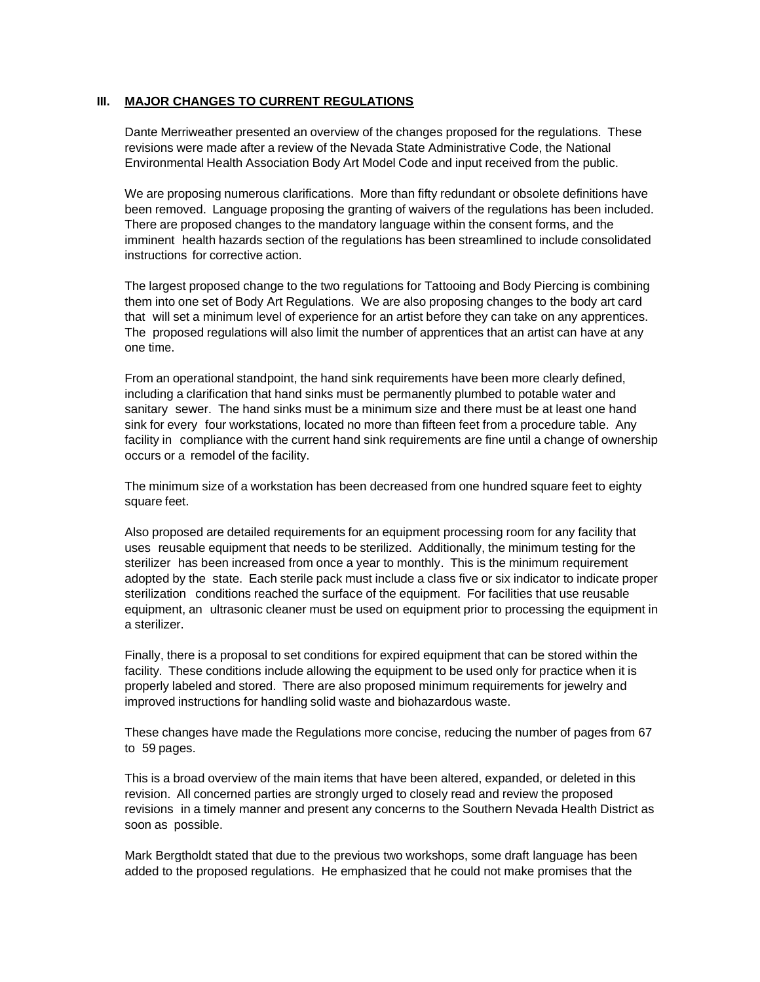#### **III. MAJOR CHANGES TO CURRENT REGULATIONS**

Dante Merriweather presented an overview of the changes proposed for the regulations. These revisions were made after a review of the Nevada State Administrative Code, the National Environmental Health Association Body Art Model Code and input received from the public.

We are proposing numerous clarifications. More than fifty redundant or obsolete definitions have been removed. Language proposing the granting of waivers of the regulations has been included. There are proposed changes to the mandatory language within the consent forms, and the imminent health hazards section of the regulations has been streamlined to include consolidated instructions for corrective action.

The largest proposed change to the two regulations for Tattooing and Body Piercing is combining them into one set of Body Art Regulations. We are also proposing changes to the body art card that will set a minimum level of experience for an artist before they can take on any apprentices. The proposed regulations will also limit the number of apprentices that an artist can have at any one time.

From an operational standpoint, the hand sink requirements have been more clearly defined, including a clarification that hand sinks must be permanently plumbed to potable water and sanitary sewer. The hand sinks must be a minimum size and there must be at least one hand sink for every four workstations, located no more than fifteen feet from a procedure table. Any facility in compliance with the current hand sink requirements are fine until a change of ownership occurs or a remodel of the facility.

The minimum size of a workstation has been decreased from one hundred square feet to eighty square feet.

Also proposed are detailed requirements for an equipment processing room for any facility that uses reusable equipment that needs to be sterilized. Additionally, the minimum testing for the sterilizer has been increased from once a year to monthly. This is the minimum requirement adopted by the state. Each sterile pack must include a class five or six indicator to indicate proper sterilization conditions reached the surface of the equipment. For facilities that use reusable equipment, an ultrasonic cleaner must be used on equipment prior to processing the equipment in a sterilizer.

Finally, there is a proposal to set conditions for expired equipment that can be stored within the facility. These conditions include allowing the equipment to be used only for practice when it is properly labeled and stored. There are also proposed minimum requirements for jewelry and improved instructions for handling solid waste and biohazardous waste.

These changes have made the Regulations more concise, reducing the number of pages from 67 to 59 pages.

This is a broad overview of the main items that have been altered, expanded, or deleted in this revision. All concerned parties are strongly urged to closely read and review the proposed revisions in a timely manner and present any concerns to the Southern Nevada Health District as soon as possible.

Mark Bergtholdt stated that due to the previous two workshops, some draft language has been added to the proposed regulations. He emphasized that he could not make promises that the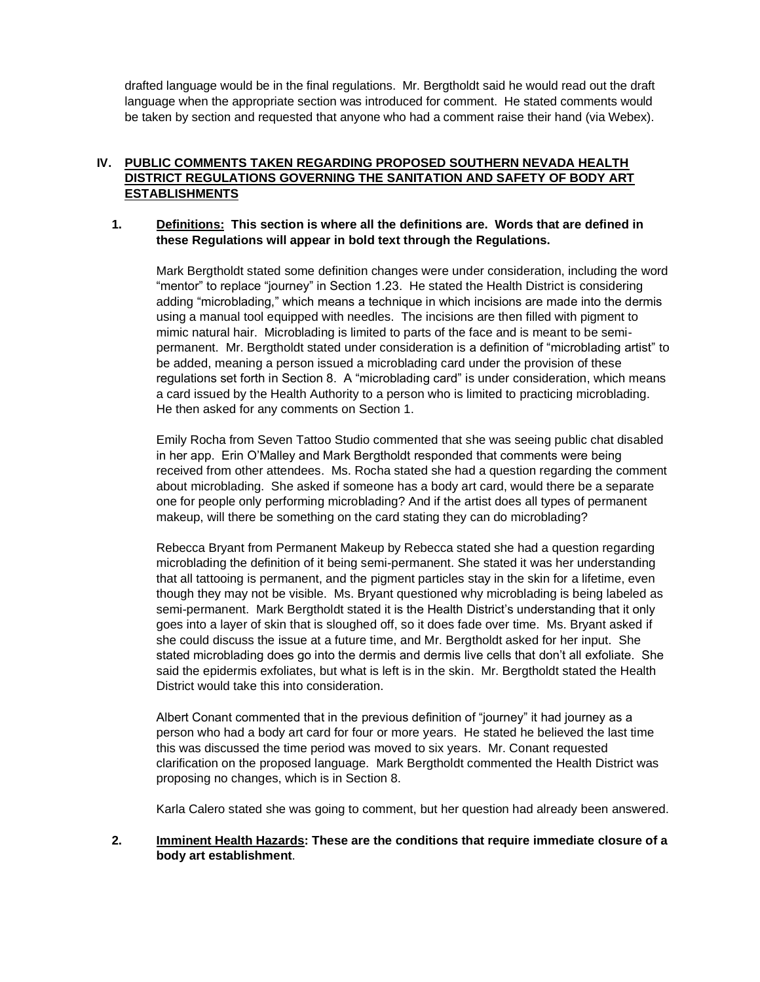drafted language would be in the final regulations. Mr. Bergtholdt said he would read out the draft language when the appropriate section was introduced for comment. He stated comments would be taken by section and requested that anyone who had a comment raise their hand (via Webex).

## **IV. PUBLIC COMMENTS TAKEN REGARDING PROPOSED SOUTHERN NEVADA HEALTH DISTRICT REGULATIONS GOVERNING THE SANITATION AND SAFETY OF BODY ART ESTABLISHMENTS**

#### **1. Definitions: This section is where all the definitions are. Words that are defined in these Regulations will appear in bold text through the Regulations.**

Mark Bergtholdt stated some definition changes were under consideration, including the word "mentor" to replace "journey" in Section 1.23. He stated the Health District is considering adding "microblading," which means a technique in which incisions are made into the dermis using a manual tool equipped with needles. The incisions are then filled with pigment to mimic natural hair. Microblading is limited to parts of the face and is meant to be semipermanent. Mr. Bergtholdt stated under consideration is a definition of "microblading artist" to be added, meaning a person issued a microblading card under the provision of these regulations set forth in Section 8. A "microblading card" is under consideration, which means a card issued by the Health Authority to a person who is limited to practicing microblading. He then asked for any comments on Section 1.

Emily Rocha from Seven Tattoo Studio commented that she was seeing public chat disabled in her app. Erin O'Malley and Mark Bergtholdt responded that comments were being received from other attendees. Ms. Rocha stated she had a question regarding the comment about microblading. She asked if someone has a body art card, would there be a separate one for people only performing microblading? And if the artist does all types of permanent makeup, will there be something on the card stating they can do microblading?

Rebecca Bryant from Permanent Makeup by Rebecca stated she had a question regarding microblading the definition of it being semi-permanent. She stated it was her understanding that all tattooing is permanent, and the pigment particles stay in the skin for a lifetime, even though they may not be visible. Ms. Bryant questioned why microblading is being labeled as semi-permanent. Mark Bergtholdt stated it is the Health District's understanding that it only goes into a layer of skin that is sloughed off, so it does fade over time. Ms. Bryant asked if she could discuss the issue at a future time, and Mr. Bergtholdt asked for her input. She stated microblading does go into the dermis and dermis live cells that don't all exfoliate. She said the epidermis exfoliates, but what is left is in the skin. Mr. Bergtholdt stated the Health District would take this into consideration.

Albert Conant commented that in the previous definition of "journey" it had journey as a person who had a body art card for four or more years. He stated he believed the last time this was discussed the time period was moved to six years. Mr. Conant requested clarification on the proposed language. Mark Bergtholdt commented the Health District was proposing no changes, which is in Section 8.

Karla Calero stated she was going to comment, but her question had already been answered.

### **2. Imminent Health Hazards: These are the conditions that require immediate closure of a body art establishment**.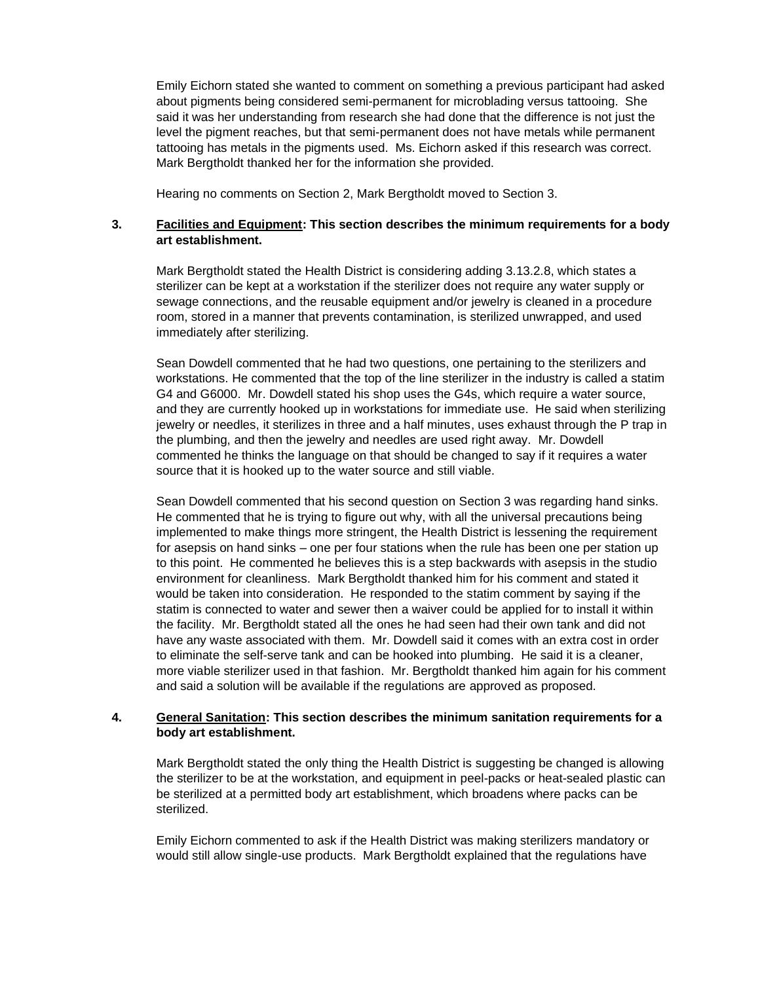Emily Eichorn stated she wanted to comment on something a previous participant had asked about pigments being considered semi-permanent for microblading versus tattooing. She said it was her understanding from research she had done that the difference is not just the level the pigment reaches, but that semi-permanent does not have metals while permanent tattooing has metals in the pigments used. Ms. Eichorn asked if this research was correct. Mark Bergtholdt thanked her for the information she provided.

Hearing no comments on Section 2, Mark Bergtholdt moved to Section 3.

### **3. Facilities and Equipment: This section describes the minimum requirements for a body art establishment.**

Mark Bergtholdt stated the Health District is considering adding 3.13.2.8, which states a sterilizer can be kept at a workstation if the sterilizer does not require any water supply or sewage connections, and the reusable equipment and/or jewelry is cleaned in a procedure room, stored in a manner that prevents contamination, is sterilized unwrapped, and used immediately after sterilizing.

Sean Dowdell commented that he had two questions, one pertaining to the sterilizers and workstations. He commented that the top of the line sterilizer in the industry is called a statim G4 and G6000. Mr. Dowdell stated his shop uses the G4s, which require a water source, and they are currently hooked up in workstations for immediate use. He said when sterilizing jewelry or needles, it sterilizes in three and a half minutes, uses exhaust through the P trap in the plumbing, and then the jewelry and needles are used right away. Mr. Dowdell commented he thinks the language on that should be changed to say if it requires a water source that it is hooked up to the water source and still viable.

Sean Dowdell commented that his second question on Section 3 was regarding hand sinks. He commented that he is trying to figure out why, with all the universal precautions being implemented to make things more stringent, the Health District is lessening the requirement for asepsis on hand sinks – one per four stations when the rule has been one per station up to this point. He commented he believes this is a step backwards with asepsis in the studio environment for cleanliness. Mark Bergtholdt thanked him for his comment and stated it would be taken into consideration. He responded to the statim comment by saying if the statim is connected to water and sewer then a waiver could be applied for to install it within the facility. Mr. Bergtholdt stated all the ones he had seen had their own tank and did not have any waste associated with them. Mr. Dowdell said it comes with an extra cost in order to eliminate the self-serve tank and can be hooked into plumbing. He said it is a cleaner, more viable sterilizer used in that fashion. Mr. Bergtholdt thanked him again for his comment and said a solution will be available if the regulations are approved as proposed.

#### **4. General Sanitation: This section describes the minimum sanitation requirements for a body art establishment.**

Mark Bergtholdt stated the only thing the Health District is suggesting be changed is allowing the sterilizer to be at the workstation, and equipment in peel-packs or heat-sealed plastic can be sterilized at a permitted body art establishment, which broadens where packs can be sterilized.

Emily Eichorn commented to ask if the Health District was making sterilizers mandatory or would still allow single-use products. Mark Bergtholdt explained that the regulations have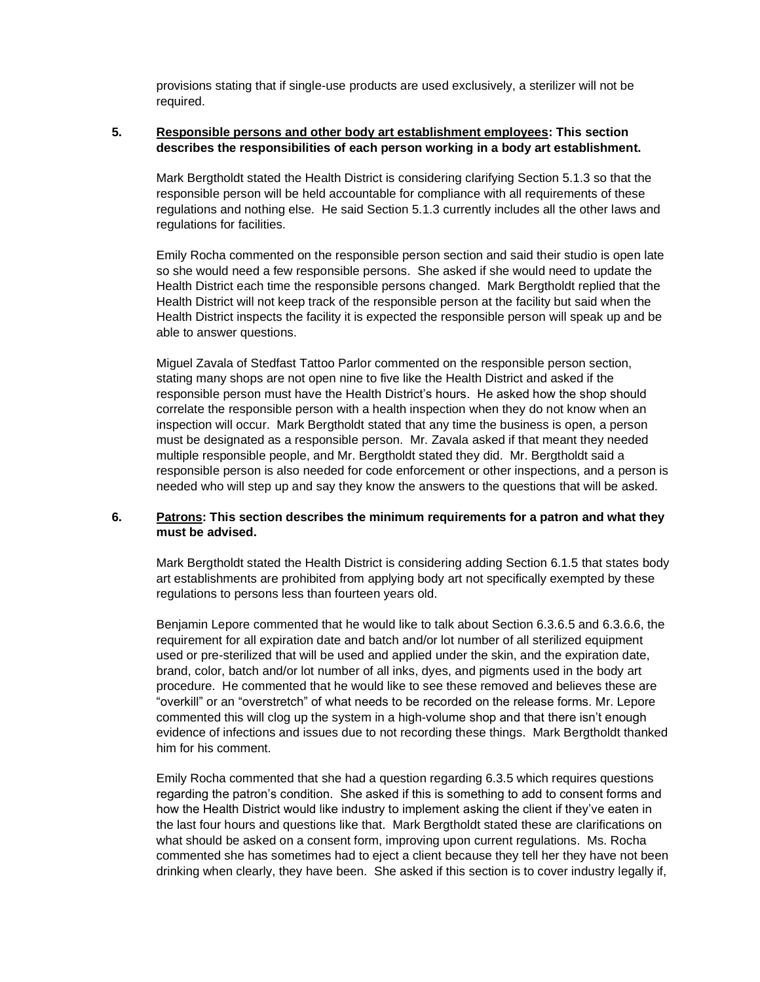provisions stating that if single-use products are used exclusively, a sterilizer will not be required.

#### **5. Responsible persons and other body art establishment employees: This section describes the responsibilities of each person working in a body art establishment.**

Mark Bergtholdt stated the Health District is considering clarifying Section 5.1.3 so that the responsible person will be held accountable for compliance with all requirements of these regulations and nothing else. He said Section 5.1.3 currently includes all the other laws and regulations for facilities.

Emily Rocha commented on the responsible person section and said their studio is open late so she would need a few responsible persons. She asked if she would need to update the Health District each time the responsible persons changed. Mark Bergtholdt replied that the Health District will not keep track of the responsible person at the facility but said when the Health District inspects the facility it is expected the responsible person will speak up and be able to answer questions.

Miguel Zavala of Stedfast Tattoo Parlor commented on the responsible person section, stating many shops are not open nine to five like the Health District and asked if the responsible person must have the Health District's hours. He asked how the shop should correlate the responsible person with a health inspection when they do not know when an inspection will occur. Mark Bergtholdt stated that any time the business is open, a person must be designated as a responsible person. Mr. Zavala asked if that meant they needed multiple responsible people, and Mr. Bergtholdt stated they did. Mr. Bergtholdt said a responsible person is also needed for code enforcement or other inspections, and a person is needed who will step up and say they know the answers to the questions that will be asked.

#### **6. Patrons: This section describes the minimum requirements for a patron and what they must be advised.**

Mark Bergtholdt stated the Health District is considering adding Section 6.1.5 that states body art establishments are prohibited from applying body art not specifically exempted by these regulations to persons less than fourteen years old.

Benjamin Lepore commented that he would like to talk about Section 6.3.6.5 and 6.3.6.6, the requirement for all expiration date and batch and/or lot number of all sterilized equipment used or pre-sterilized that will be used and applied under the skin, and the expiration date, brand, color, batch and/or lot number of all inks, dyes, and pigments used in the body art procedure. He commented that he would like to see these removed and believes these are "overkill" or an "overstretch" of what needs to be recorded on the release forms. Mr. Lepore commented this will clog up the system in a high-volume shop and that there isn't enough evidence of infections and issues due to not recording these things. Mark Bergtholdt thanked him for his comment.

Emily Rocha commented that she had a question regarding 6.3.5 which requires questions regarding the patron's condition. She asked if this is something to add to consent forms and how the Health District would like industry to implement asking the client if they've eaten in the last four hours and questions like that. Mark Bergtholdt stated these are clarifications on what should be asked on a consent form, improving upon current regulations. Ms. Rocha commented she has sometimes had to eject a client because they tell her they have not been drinking when clearly, they have been. She asked if this section is to cover industry legally if,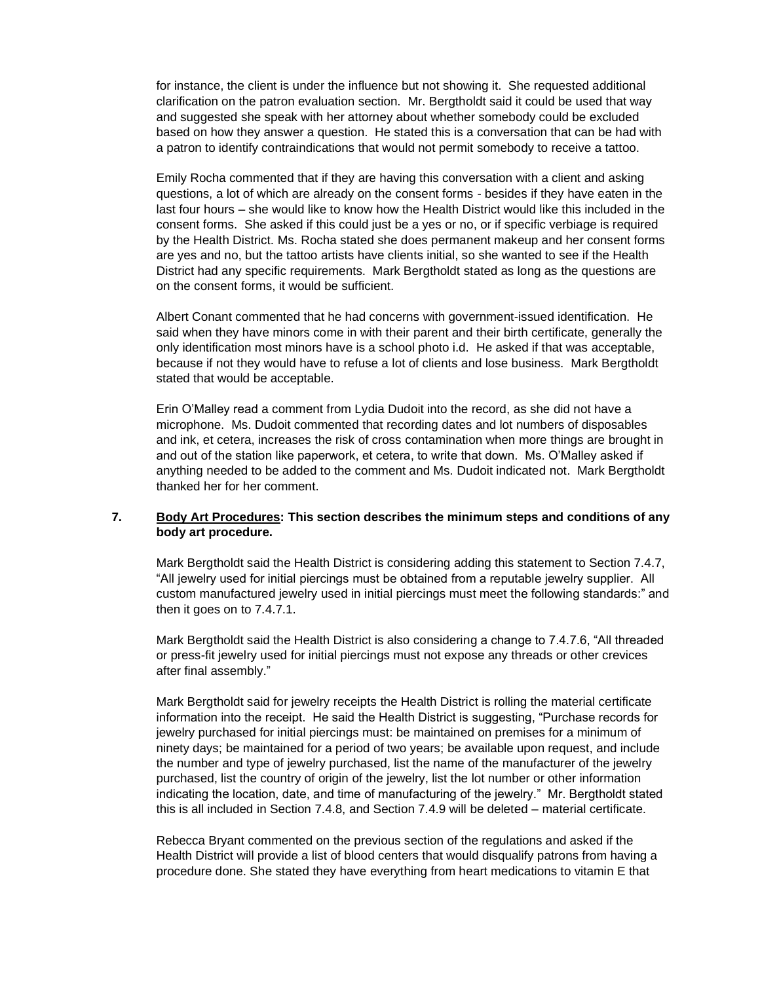for instance, the client is under the influence but not showing it. She requested additional clarification on the patron evaluation section. Mr. Bergtholdt said it could be used that way and suggested she speak with her attorney about whether somebody could be excluded based on how they answer a question. He stated this is a conversation that can be had with a patron to identify contraindications that would not permit somebody to receive a tattoo.

Emily Rocha commented that if they are having this conversation with a client and asking questions, a lot of which are already on the consent forms - besides if they have eaten in the last four hours – she would like to know how the Health District would like this included in the consent forms. She asked if this could just be a yes or no, or if specific verbiage is required by the Health District. Ms. Rocha stated she does permanent makeup and her consent forms are yes and no, but the tattoo artists have clients initial, so she wanted to see if the Health District had any specific requirements. Mark Bergtholdt stated as long as the questions are on the consent forms, it would be sufficient.

Albert Conant commented that he had concerns with government-issued identification. He said when they have minors come in with their parent and their birth certificate, generally the only identification most minors have is a school photo i.d. He asked if that was acceptable, because if not they would have to refuse a lot of clients and lose business. Mark Bergtholdt stated that would be acceptable.

Erin O'Malley read a comment from Lydia Dudoit into the record, as she did not have a microphone. Ms. Dudoit commented that recording dates and lot numbers of disposables and ink, et cetera, increases the risk of cross contamination when more things are brought in and out of the station like paperwork, et cetera, to write that down. Ms. O'Malley asked if anything needed to be added to the comment and Ms. Dudoit indicated not. Mark Bergtholdt thanked her for her comment.

## **7. Body Art Procedures: This section describes the minimum steps and conditions of any body art procedure.**

Mark Bergtholdt said the Health District is considering adding this statement to Section 7.4.7, "All jewelry used for initial piercings must be obtained from a reputable jewelry supplier. All custom manufactured jewelry used in initial piercings must meet the following standards:" and then it goes on to 7.4.7.1.

Mark Bergtholdt said the Health District is also considering a change to 7.4.7.6, "All threaded or press-fit jewelry used for initial piercings must not expose any threads or other crevices after final assembly."

Mark Bergtholdt said for jewelry receipts the Health District is rolling the material certificate information into the receipt. He said the Health District is suggesting, "Purchase records for jewelry purchased for initial piercings must: be maintained on premises for a minimum of ninety days; be maintained for a period of two years; be available upon request, and include the number and type of jewelry purchased, list the name of the manufacturer of the jewelry purchased, list the country of origin of the jewelry, list the lot number or other information indicating the location, date, and time of manufacturing of the jewelry." Mr. Bergtholdt stated this is all included in Section 7.4.8, and Section 7.4.9 will be deleted – material certificate.

Rebecca Bryant commented on the previous section of the regulations and asked if the Health District will provide a list of blood centers that would disqualify patrons from having a procedure done. She stated they have everything from heart medications to vitamin E that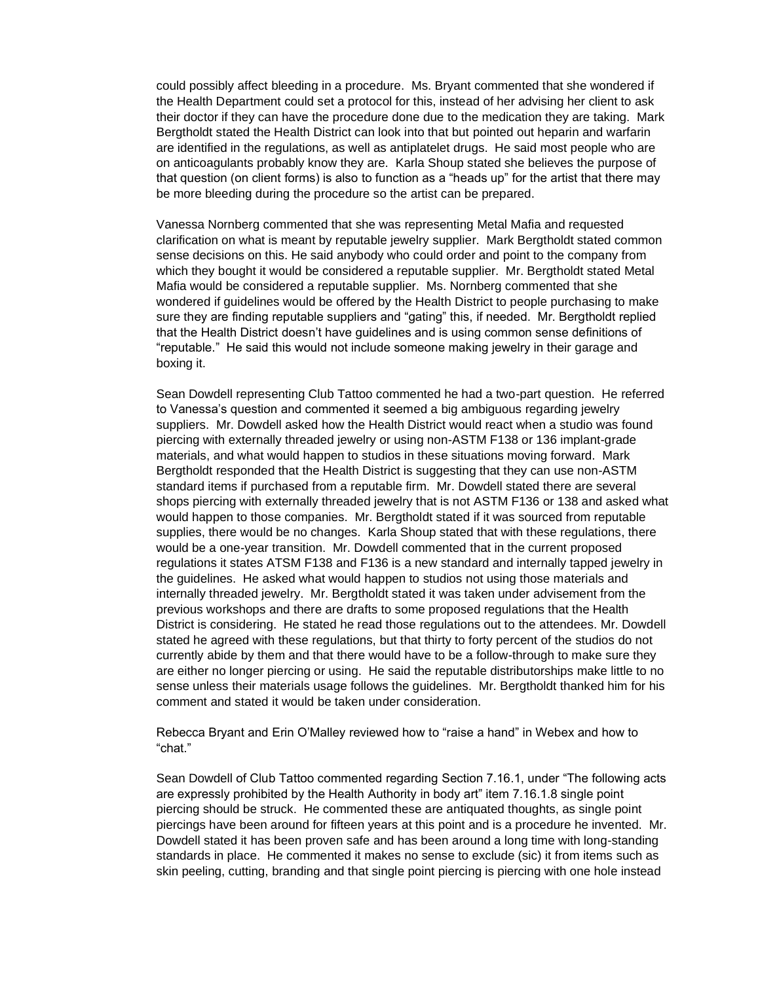could possibly affect bleeding in a procedure. Ms. Bryant commented that she wondered if the Health Department could set a protocol for this, instead of her advising her client to ask their doctor if they can have the procedure done due to the medication they are taking. Mark Bergtholdt stated the Health District can look into that but pointed out heparin and warfarin are identified in the regulations, as well as antiplatelet drugs. He said most people who are on anticoagulants probably know they are. Karla Shoup stated she believes the purpose of that question (on client forms) is also to function as a "heads up" for the artist that there may be more bleeding during the procedure so the artist can be prepared.

Vanessa Nornberg commented that she was representing Metal Mafia and requested clarification on what is meant by reputable jewelry supplier. Mark Bergtholdt stated common sense decisions on this. He said anybody who could order and point to the company from which they bought it would be considered a reputable supplier. Mr. Bergtholdt stated Metal Mafia would be considered a reputable supplier. Ms. Nornberg commented that she wondered if guidelines would be offered by the Health District to people purchasing to make sure they are finding reputable suppliers and "gating" this, if needed. Mr. Bergtholdt replied that the Health District doesn't have guidelines and is using common sense definitions of "reputable." He said this would not include someone making jewelry in their garage and boxing it.

Sean Dowdell representing Club Tattoo commented he had a two-part question. He referred to Vanessa's question and commented it seemed a big ambiguous regarding jewelry suppliers. Mr. Dowdell asked how the Health District would react when a studio was found piercing with externally threaded jewelry or using non-ASTM F138 or 136 implant-grade materials, and what would happen to studios in these situations moving forward. Mark Bergtholdt responded that the Health District is suggesting that they can use non-ASTM standard items if purchased from a reputable firm. Mr. Dowdell stated there are several shops piercing with externally threaded jewelry that is not ASTM F136 or 138 and asked what would happen to those companies. Mr. Bergtholdt stated if it was sourced from reputable supplies, there would be no changes. Karla Shoup stated that with these regulations, there would be a one-year transition. Mr. Dowdell commented that in the current proposed regulations it states ATSM F138 and F136 is a new standard and internally tapped jewelry in the guidelines. He asked what would happen to studios not using those materials and internally threaded jewelry. Mr. Bergtholdt stated it was taken under advisement from the previous workshops and there are drafts to some proposed regulations that the Health District is considering. He stated he read those regulations out to the attendees. Mr. Dowdell stated he agreed with these regulations, but that thirty to forty percent of the studios do not currently abide by them and that there would have to be a follow-through to make sure they are either no longer piercing or using. He said the reputable distributorships make little to no sense unless their materials usage follows the guidelines. Mr. Bergtholdt thanked him for his comment and stated it would be taken under consideration.

Rebecca Bryant and Erin O'Malley reviewed how to "raise a hand" in Webex and how to "chat."

Sean Dowdell of Club Tattoo commented regarding Section 7.16.1, under "The following acts are expressly prohibited by the Health Authority in body art" item 7.16.1.8 single point piercing should be struck. He commented these are antiquated thoughts, as single point piercings have been around for fifteen years at this point and is a procedure he invented. Mr. Dowdell stated it has been proven safe and has been around a long time with long-standing standards in place. He commented it makes no sense to exclude (sic) it from items such as skin peeling, cutting, branding and that single point piercing is piercing with one hole instead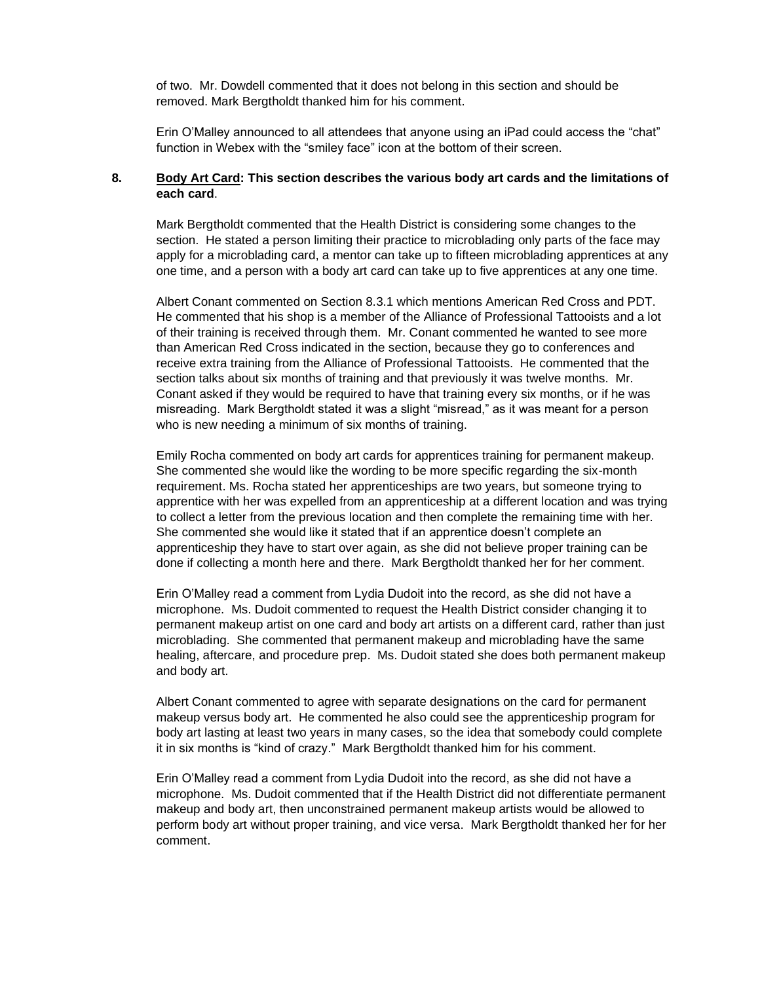of two. Mr. Dowdell commented that it does not belong in this section and should be removed. Mark Bergtholdt thanked him for his comment.

Erin O'Malley announced to all attendees that anyone using an iPad could access the "chat" function in Webex with the "smiley face" icon at the bottom of their screen.

## **8. Body Art Card: This section describes the various body art cards and the limitations of each card**.

Mark Bergtholdt commented that the Health District is considering some changes to the section. He stated a person limiting their practice to microblading only parts of the face may apply for a microblading card, a mentor can take up to fifteen microblading apprentices at any one time, and a person with a body art card can take up to five apprentices at any one time.

Albert Conant commented on Section 8.3.1 which mentions American Red Cross and PDT. He commented that his shop is a member of the Alliance of Professional Tattooists and a lot of their training is received through them. Mr. Conant commented he wanted to see more than American Red Cross indicated in the section, because they go to conferences and receive extra training from the Alliance of Professional Tattooists. He commented that the section talks about six months of training and that previously it was twelve months. Mr. Conant asked if they would be required to have that training every six months, or if he was misreading. Mark Bergtholdt stated it was a slight "misread," as it was meant for a person who is new needing a minimum of six months of training.

Emily Rocha commented on body art cards for apprentices training for permanent makeup. She commented she would like the wording to be more specific regarding the six-month requirement. Ms. Rocha stated her apprenticeships are two years, but someone trying to apprentice with her was expelled from an apprenticeship at a different location and was trying to collect a letter from the previous location and then complete the remaining time with her. She commented she would like it stated that if an apprentice doesn't complete an apprenticeship they have to start over again, as she did not believe proper training can be done if collecting a month here and there. Mark Bergtholdt thanked her for her comment.

Erin O'Malley read a comment from Lydia Dudoit into the record, as she did not have a microphone. Ms. Dudoit commented to request the Health District consider changing it to permanent makeup artist on one card and body art artists on a different card, rather than just microblading. She commented that permanent makeup and microblading have the same healing, aftercare, and procedure prep. Ms. Dudoit stated she does both permanent makeup and body art.

Albert Conant commented to agree with separate designations on the card for permanent makeup versus body art. He commented he also could see the apprenticeship program for body art lasting at least two years in many cases, so the idea that somebody could complete it in six months is "kind of crazy." Mark Bergtholdt thanked him for his comment.

Erin O'Malley read a comment from Lydia Dudoit into the record, as she did not have a microphone. Ms. Dudoit commented that if the Health District did not differentiate permanent makeup and body art, then unconstrained permanent makeup artists would be allowed to perform body art without proper training, and vice versa. Mark Bergtholdt thanked her for her comment.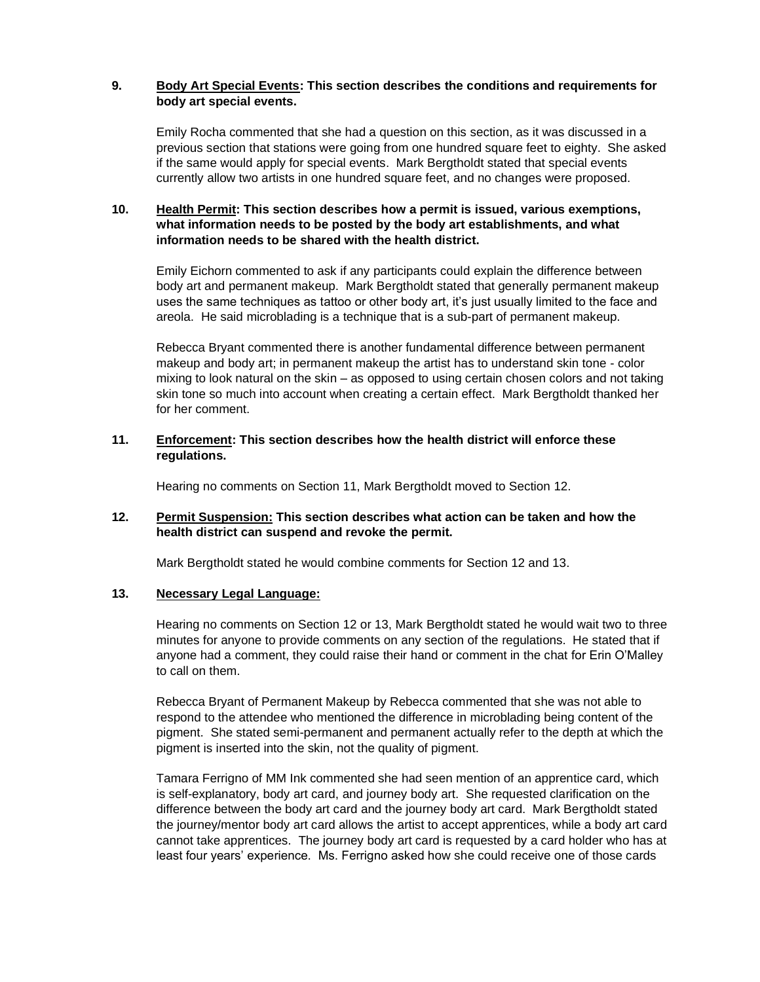## **9. Body Art Special Events: This section describes the conditions and requirements for body art special events.**

Emily Rocha commented that she had a question on this section, as it was discussed in a previous section that stations were going from one hundred square feet to eighty. She asked if the same would apply for special events. Mark Bergtholdt stated that special events currently allow two artists in one hundred square feet, and no changes were proposed.

## **10. Health Permit: This section describes how a permit is issued, various exemptions, what information needs to be posted by the body art establishments, and what information needs to be shared with the health district.**

Emily Eichorn commented to ask if any participants could explain the difference between body art and permanent makeup. Mark Bergtholdt stated that generally permanent makeup uses the same techniques as tattoo or other body art, it's just usually limited to the face and areola. He said microblading is a technique that is a sub-part of permanent makeup.

Rebecca Bryant commented there is another fundamental difference between permanent makeup and body art; in permanent makeup the artist has to understand skin tone - color mixing to look natural on the skin – as opposed to using certain chosen colors and not taking skin tone so much into account when creating a certain effect. Mark Bergtholdt thanked her for her comment.

#### **11. Enforcement: This section describes how the health district will enforce these regulations.**

Hearing no comments on Section 11, Mark Bergtholdt moved to Section 12.

#### **12. Permit Suspension: This section describes what action can be taken and how the health district can suspend and revoke the permit.**

Mark Bergtholdt stated he would combine comments for Section 12 and 13.

## **13. Necessary Legal Language:**

Hearing no comments on Section 12 or 13, Mark Bergtholdt stated he would wait two to three minutes for anyone to provide comments on any section of the regulations. He stated that if anyone had a comment, they could raise their hand or comment in the chat for Erin O'Malley to call on them.

Rebecca Bryant of Permanent Makeup by Rebecca commented that she was not able to respond to the attendee who mentioned the difference in microblading being content of the pigment. She stated semi-permanent and permanent actually refer to the depth at which the pigment is inserted into the skin, not the quality of pigment.

Tamara Ferrigno of MM Ink commented she had seen mention of an apprentice card, which is self-explanatory, body art card, and journey body art. She requested clarification on the difference between the body art card and the journey body art card. Mark Bergtholdt stated the journey/mentor body art card allows the artist to accept apprentices, while a body art card cannot take apprentices. The journey body art card is requested by a card holder who has at least four years' experience. Ms. Ferrigno asked how she could receive one of those cards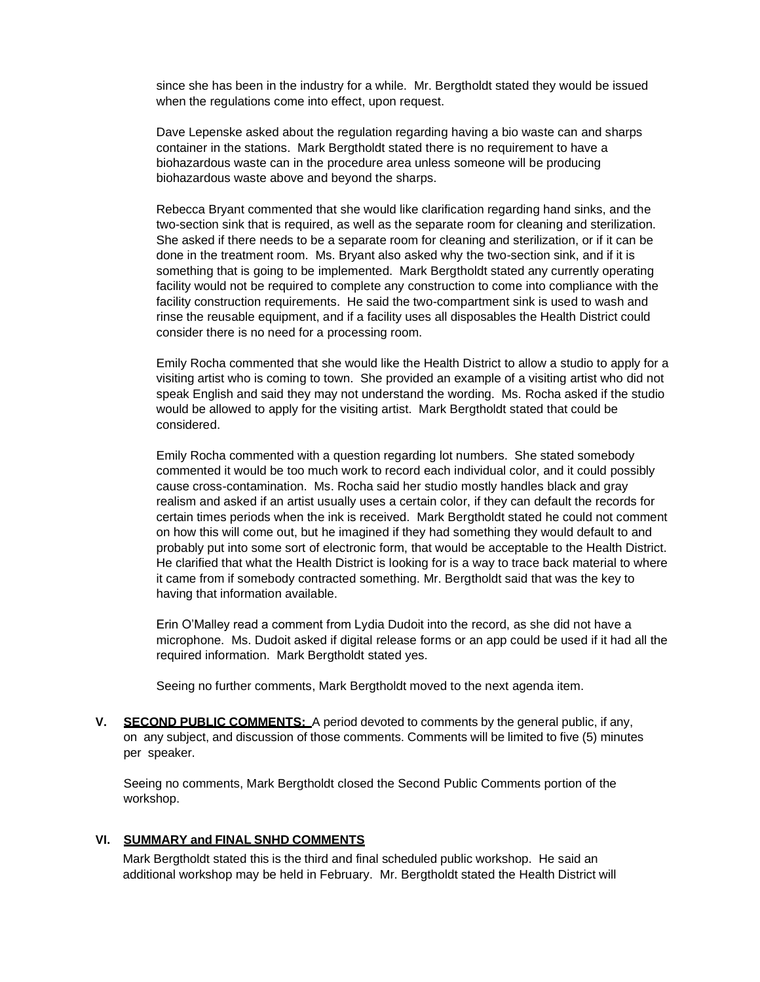since she has been in the industry for a while. Mr. Bergtholdt stated they would be issued when the regulations come into effect, upon request.

Dave Lepenske asked about the regulation regarding having a bio waste can and sharps container in the stations. Mark Bergtholdt stated there is no requirement to have a biohazardous waste can in the procedure area unless someone will be producing biohazardous waste above and beyond the sharps.

Rebecca Bryant commented that she would like clarification regarding hand sinks, and the two-section sink that is required, as well as the separate room for cleaning and sterilization. She asked if there needs to be a separate room for cleaning and sterilization, or if it can be done in the treatment room. Ms. Bryant also asked why the two-section sink, and if it is something that is going to be implemented. Mark Bergtholdt stated any currently operating facility would not be required to complete any construction to come into compliance with the facility construction requirements. He said the two-compartment sink is used to wash and rinse the reusable equipment, and if a facility uses all disposables the Health District could consider there is no need for a processing room.

Emily Rocha commented that she would like the Health District to allow a studio to apply for a visiting artist who is coming to town. She provided an example of a visiting artist who did not speak English and said they may not understand the wording. Ms. Rocha asked if the studio would be allowed to apply for the visiting artist. Mark Bergtholdt stated that could be considered.

Emily Rocha commented with a question regarding lot numbers. She stated somebody commented it would be too much work to record each individual color, and it could possibly cause cross-contamination. Ms. Rocha said her studio mostly handles black and gray realism and asked if an artist usually uses a certain color, if they can default the records for certain times periods when the ink is received. Mark Bergtholdt stated he could not comment on how this will come out, but he imagined if they had something they would default to and probably put into some sort of electronic form, that would be acceptable to the Health District. He clarified that what the Health District is looking for is a way to trace back material to where it came from if somebody contracted something. Mr. Bergtholdt said that was the key to having that information available.

Erin O'Malley read a comment from Lydia Dudoit into the record, as she did not have a microphone. Ms. Dudoit asked if digital release forms or an app could be used if it had all the required information. Mark Bergtholdt stated yes.

Seeing no further comments, Mark Bergtholdt moved to the next agenda item.

**V. SECOND PUBLIC COMMENTS:** A period devoted to comments by the general public, if any, on any subject, and discussion of those comments. Comments will be limited to five (5) minutes per speaker.

Seeing no comments, Mark Bergtholdt closed the Second Public Comments portion of the workshop.

#### **VI. SUMMARY and FINAL SNHD COMMENTS**

Mark Bergtholdt stated this is the third and final scheduled public workshop. He said an additional workshop may be held in February. Mr. Bergtholdt stated the Health District will